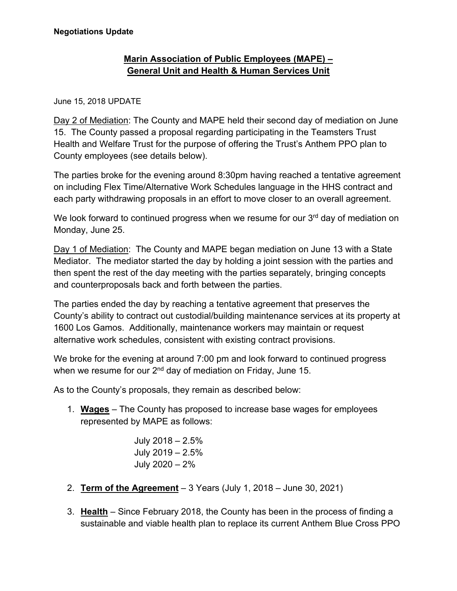## **Marin Association of Public Employees (MAPE) – General Unit and Health & Human Services Unit**

## June 15, 2018 UPDATE

Day 2 of Mediation: The County and MAPE held their second day of mediation on June 15. The County passed a proposal regarding participating in the Teamsters Trust Health and Welfare Trust for the purpose of offering the Trust's Anthem PPO plan to County employees (see details below).

The parties broke for the evening around 8:30pm having reached a tentative agreement on including Flex Time/Alternative Work Schedules language in the HHS contract and each party withdrawing proposals in an effort to move closer to an overall agreement.

We look forward to continued progress when we resume for our  $3<sup>rd</sup>$  day of mediation on Monday, June 25.

Day 1 of Mediation: The County and MAPE began mediation on June 13 with a State Mediator. The mediator started the day by holding a joint session with the parties and then spent the rest of the day meeting with the parties separately, bringing concepts and counterproposals back and forth between the parties.

The parties ended the day by reaching a tentative agreement that preserves the County's ability to contract out custodial/building maintenance services at its property at 1600 Los Gamos. Additionally, maintenance workers may maintain or request alternative work schedules, consistent with existing contract provisions.

We broke for the evening at around 7:00 pm and look forward to continued progress when we resume for our  $2<sup>nd</sup>$  day of mediation on Friday, June 15.

As to the County's proposals, they remain as described below:

1. **Wages** – The County has proposed to increase base wages for employees represented by MAPE as follows:

> July 2018 – 2.5% July 2019 – 2.5% July 2020 – 2%

- 2. **Term of the Agreement** 3 Years (July 1, 2018 June 30, 2021)
- 3. **Health** Since February 2018, the County has been in the process of finding a sustainable and viable health plan to replace its current Anthem Blue Cross PPO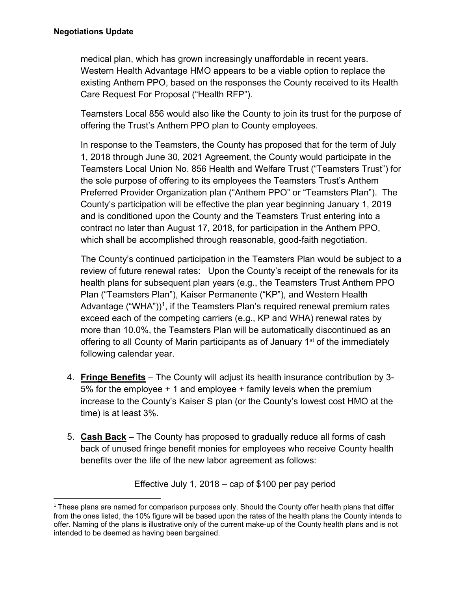medical plan, which has grown increasingly unaffordable in recent years. Western Health Advantage HMO appears to be a viable option to replace the existing Anthem PPO, based on the responses the County received to its Health Care Request For Proposal ("Health RFP").

Teamsters Local 856 would also like the County to join its trust for the purpose of offering the Trust's Anthem PPO plan to County employees.

In response to the Teamsters, the County has proposed that for the term of July 1, 2018 through June 30, 2021 Agreement, the County would participate in the Teamsters Local Union No. 856 Health and Welfare Trust ("Teamsters Trust") for the sole purpose of offering to its employees the Teamsters Trust's Anthem Preferred Provider Organization plan ("Anthem PPO" or "Teamsters Plan"). The County's participation will be effective the plan year beginning January 1, 2019 and is conditioned upon the County and the Teamsters Trust entering into a contract no later than August 17, 2018, for participation in the Anthem PPO, which shall be accomplished through reasonable, good-faith negotiation.

The County's continued participation in the Teamsters Plan would be subject to a review of future renewal rates: Upon the County's receipt of the renewals for its health plans for subsequent plan years (e.g., the Teamsters Trust Anthem PPO Plan ("Teamsters Plan"), Kaiser Permanente ("KP"), and Western Health Advantage ("WHA"))<sup>1</sup>, if the Teamsters Plan's required renewal premium rates exceed each of the competing carriers (e.g., KP and WHA) renewal rates by more than 10.0%, the Teamsters Plan will be automatically discontinued as an offering to all County of Marin participants as of January 1<sup>st</sup> of the immediately following calendar year.

- 4. **Fringe Benefits** The County will adjust its health insurance contribution by 3- 5% for the employee + 1 and employee + family levels when the premium increase to the County's Kaiser S plan (or the County's lowest cost HMO at the time) is at least 3%.
- 5. **Cash Back** The County has proposed to gradually reduce all forms of cash back of unused fringe benefit monies for employees who receive County health benefits over the life of the new labor agreement as follows:

Effective July 1, 2018 – cap of \$100 per pay period

  $1$  These plans are named for comparison purposes only. Should the County offer health plans that differ from the ones listed, the 10% figure will be based upon the rates of the health plans the County intends to offer. Naming of the plans is illustrative only of the current make-up of the County health plans and is not intended to be deemed as having been bargained.